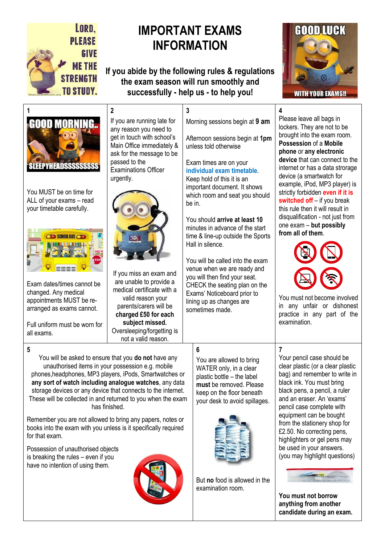

# **IMPORTANT EXAMS INFORMATION**

**If you abide by the following rules & regulations the exam season will run smoothly and successfully - help us - to help you!**

**3**





You MUST be on time for ALL of your exams – read your timetable carefully.



Exam dates/times cannot be changed. Any medical appointments MUST be rearranged as exams cannot.

Full uniform must be worn for all exams.

**5** 

for that exam.

Possession of unauthorised objects is breaking the rules – even if you have no intention of using them.

**2** If you are running late for any reason you need to get in touch with school's Main Office immediately & ask for the message to be passed to the Examinations Officer urgently.



If you miss an exam and are unable to provide a medical certificate with a valid reason your parents/carers will be **charged £50 for each subject missed.**  Oversleeping/forgetting is not a valid reason.

You will be asked to ensure that you **do not** have any unauthorised items in your possession e.g. mobile phones,headphones, MP3 players, iPods, Smartwatches or **any sort of watch including analogue watches**, any data storage devices or any device that connects to the internet. These will be collected in and returned to you when the exam has finished.

Remember you are not allowed to bring any papers, notes or books into the exam with you unless is it specifically required

Morning sessions begin at **9 am**

Afternoon sessions begin at **1pm**  unless told otherwise

Exam times are on your **individual exam timetable**. Keep hold of this it is an important document. It shows which room and seat you should be in.

You should **arrive at least 10** minutes in advance of the start time & line-up outside the Sports Hall in silence.

You will be called into the exam venue when we are ready and you will then find your seat. CHECK the seating plan on the Exams' Noticeboard prior to lining up as changes are sometimes made.

You are allowed to bring

**6**

WATER only, in a clear plastic bottle – the label **must** be removed. Please keep on the floor beneath your desk to avoid spillages.



But **no** food is allowed in the examination room.

**4** Please leave all bags in lockers. They are not to be brought into the exam room. **Possession** of a **Mobile phone** or **any electronic device** that can connect to the internet or has a data strorage device (a smartwatch for example, iPod, MP3 player) is strictly forbidden **even if it is switched off** – if you break this rule then it will result in disqualification - not just from one exam – **but possibly from all of them**.



You must not become involved in any unfair or dishonest practice in any part of the examination.

**7**  Your pencil case should be clear plastic (or a clear plastic bag) and remember to write in black ink. You must bring black pens, a pencil, a ruler and an eraser. An 'exams' pencil case complete with equipment can be bought from the stationery shop for £2.50. No correcting pens, highlighters or gel pens may be used in your answers. (you may highlight questions)



**You must not borrow anything from another candidate during an exam.**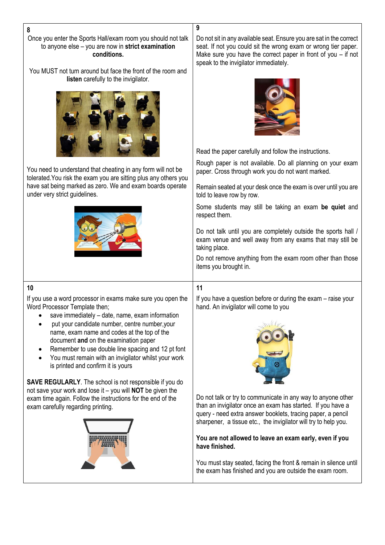Once you enter the Sports Hall/exam room you should not talk to anyone else – you are now in **strict examination conditions.**

You MUST not turn around but face the front of the room and **listen** carefully to the invigilator.



You need to understand that cheating in any form will not be tolerated.You risk the exam you are sitting plus any others you have sat being marked as zero. We and exam boards operate under very strict guidelines.



Do not sit in any available seat. Ensure you are sat in the correct seat. If not you could sit the wrong exam or wrong tier paper. Make sure you have the correct paper in front of you – if not speak to the invigilator immediately.



Read the paper carefully and follow the instructions.

Rough paper is not available. Do all planning on your exam paper. Cross through work you do not want marked.

Remain seated at your desk once the exam is over until you are told to leave row by row.

Some students may still be taking an exam **be quiet** and respect them.

Do not talk until you are completely outside the sports hall / exam venue and well away from any exams that may still be taking place.

Do not remove anything from the exam room other than those items you brought in.

### **10**

If you use a word processor in exams make sure you open the Word Processor Template then;

- save immediately date, name, exam information
- put your candidate number, centre number,your name, exam name and codes at the top of the document **and** on the examination paper
- Remember to use double line spacing and 12 pt font
- You must remain with an invigilator whilst your work is printed and confirm it is yours

**SAVE REGULARLY**. The school is not responsible if you do not save your work and lose it – you will **NOT** be given the exam time again. Follow the instructions for the end of the exam carefully regarding printing.



### **11**

**9**

If you have a question before or during the exam – raise your hand. An invigilator will come to you



Do not talk or try to communicate in any way to anyone other than an invigilator once an exam has started. If you have a query - need extra answer booklets, tracing paper, a pencil sharpener, a tissue etc., the invigilator will try to help you.

**You are not allowed to leave an exam early, even if you have finished.**

You must stay seated, facing the front & remain in silence until the exam has finished and you are outside the exam room.

#### **8**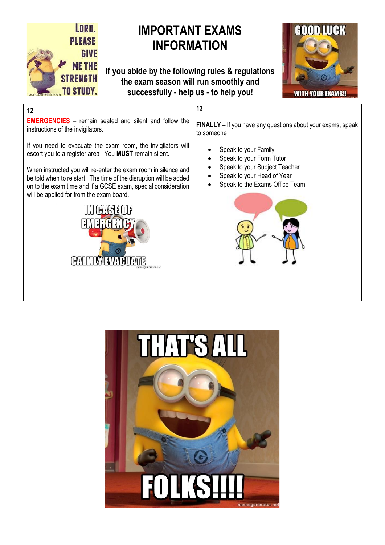

# **IMPORTANT EXAMS INFORMATION**

**If you abide by the following rules & regulations the exam season will run smoothly and successfully - help us - to help you!**

**13**



## **12**

**EMERGENCIES** – remain seated and silent and follow the instructions of the invigilators.

If you need to evacuate the exam room, the invigilators will escort you to a register area . You **MUST** remain silent.

When instructed you will re-enter the exam room in silence and be told when to re start. The time of the disruption will be added on to the exam time and if a GCSE exam, special consideration will be applied for from the exam board.



**FINALLY –** If you have any questions about your exams, speak to someone

- Speak to your Family
- Speak to your Form Tutor
- Speak to your Subject Teacher
- Speak to your Head of Year
- Speak to the Exams Office Team